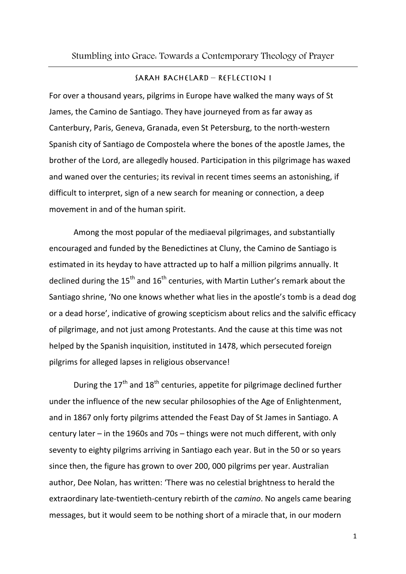## SARAH BACHELARD - REFLECTION I

For over a thousand years, pilgrims in Europe have walked the many ways of St James, the Camino de Santiago. They have journeyed from as far away as Canterbury, Paris, Geneva, Granada, even St Petersburg, to the north-western Spanish city of Santiago de Compostela where the bones of the apostle James, the brother of the Lord, are allegedly housed. Participation in this pilgrimage has waxed and waned over the centuries; its revival in recent times seems an astonishing, if difficult to interpret, sign of a new search for meaning or connection, a deep movement in and of the human spirit.

Among the most popular of the mediaeval pilgrimages, and substantially encouraged and funded by the Benedictines at Cluny, the Camino de Santiago is estimated in its heyday to have attracted up to half a million pilgrims annually. It declined during the  $15<sup>th</sup>$  and  $16<sup>th</sup>$  centuries, with Martin Luther's remark about the Santiago shrine, 'No one knows whether what lies in the apostle's tomb is a dead dog or a dead horse', indicative of growing scepticism about relics and the salvific efficacy of pilgrimage, and not just among Protestants. And the cause at this time was not helped by the Spanish inquisition, instituted in 1478, which persecuted foreign pilgrims for alleged lapses in religious observance!

During the  $17<sup>th</sup>$  and  $18<sup>th</sup>$  centuries, appetite for pilgrimage declined further under the influence of the new secular philosophies of the Age of Enlightenment, and in 1867 only forty pilgrims attended the Feast Day of St James in Santiago. A century later – in the 1960s and 70s – things were not much different, with only seventy to eighty pilgrims arriving in Santiago each year. But in the 50 or so years since then, the figure has grown to over 200, 000 pilgrims per year. Australian author, Dee Nolan, has written: 'There was no celestial brightness to herald the extraordinary late-twentieth-century rebirth of the *camino*. No angels came bearing messages, but it would seem to be nothing short of a miracle that, in our modern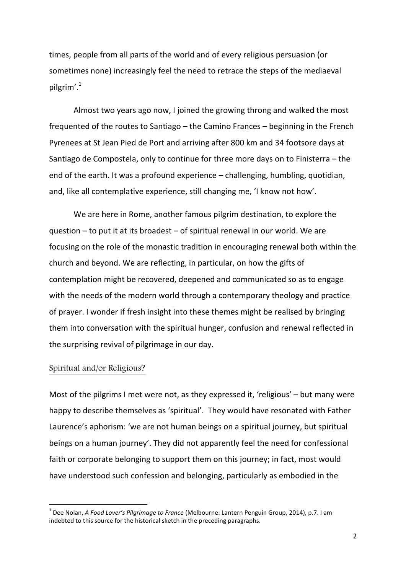times, people from all parts of the world and of every religious persuasion (or sometimes none) increasingly feel the need to retrace the steps of the mediaeval pilgrim'.<sup>1</sup>

Almost two years ago now, I joined the growing throng and walked the most frequented of the routes to Santiago – the Camino Frances – beginning in the French Pyrenees at St Jean Pied de Port and arriving after 800 km and 34 footsore days at Santiago de Compostela, only to continue for three more days on to Finisterra – the end of the earth. It was a profound experience – challenging, humbling, quotidian, and, like all contemplative experience, still changing me, 'I know not how'.

We are here in Rome, another famous pilgrim destination, to explore the question – to put it at its broadest – of spiritual renewal in our world. We are focusing on the role of the monastic tradition in encouraging renewal both within the church and beyond. We are reflecting, in particular, on how the gifts of contemplation might be recovered, deepened and communicated so as to engage with the needs of the modern world through a contemporary theology and practice of prayer. I wonder if fresh insight into these themes might be realised by bringing them into conversation with the spiritual hunger, confusion and renewal reflected in the surprising revival of pilgrimage in our day.

## Spiritual and/or Religious?

**.** 

Most of the pilgrims I met were not, as they expressed it, 'religious' – but many were happy to describe themselves as 'spiritual'. They would have resonated with Father Laurence's aphorism: 'we are not human beings on a spiritual journey, but spiritual beings on a human journey'. They did not apparently feel the need for confessional faith or corporate belonging to support them on this journey; in fact, most would have understood such confession and belonging, particularly as embodied in the

<sup>1</sup> Dee Nolan, *A Food Lover's Pilgrimage to France* (Melbourne: Lantern Penguin Group, 2014), p.7. I am indebted to this source for the historical sketch in the preceding paragraphs.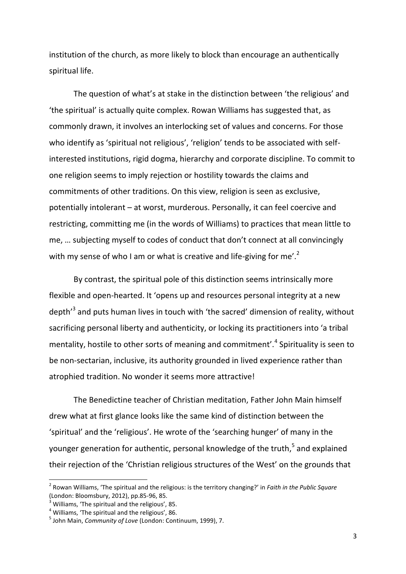institution of the church, as more likely to block than encourage an authentically spiritual life.

The question of what's at stake in the distinction between 'the religious' and 'the spiritual' is actually quite complex. Rowan Williams has suggested that, as commonly drawn, it involves an interlocking set of values and concerns. For those who identify as 'spiritual not religious', 'religion' tends to be associated with selfinterested institutions, rigid dogma, hierarchy and corporate discipline. To commit to one religion seems to imply rejection or hostility towards the claims and commitments of other traditions. On this view, religion is seen as exclusive, potentially intolerant – at worst, murderous. Personally, it can feel coercive and restricting, committing me (in the words of Williams) to practices that mean little to me, … subjecting myself to codes of conduct that don't connect at all convincingly with my sense of who I am or what is creative and life-giving for me'.<sup>2</sup>

By contrast, the spiritual pole of this distinction seems intrinsically more flexible and open-hearted. It 'opens up and resources personal integrity at a new depth<sup>'3</sup> and puts human lives in touch with 'the sacred' dimension of reality, without sacrificing personal liberty and authenticity, or locking its practitioners into 'a tribal mentality, hostile to other sorts of meaning and commitment'.<sup>4</sup> Spirituality is seen to be non-sectarian, inclusive, its authority grounded in lived experience rather than atrophied tradition. No wonder it seems more attractive!

The Benedictine teacher of Christian meditation, Father John Main himself drew what at first glance looks like the same kind of distinction between the 'spiritual' and the 'religious'. He wrote of the 'searching hunger' of many in the younger generation for authentic, personal knowledge of the truth,<sup>5</sup> and explained their rejection of the 'Christian religious structures of the West' on the grounds that

 $\overline{a}$ 

<sup>2</sup> Rowan Williams, 'The spiritual and the religious: is the territory changing?' in *Faith in the Public Square* (London: Bloomsbury, 2012), pp.85-96, 85.

<sup>3</sup> Williams, 'The spiritual and the religious', 85.

<sup>4</sup> Williams, 'The spiritual and the religious', 86.

<sup>5</sup> John Main, *Community of Love* (London: Continuum, 1999), 7.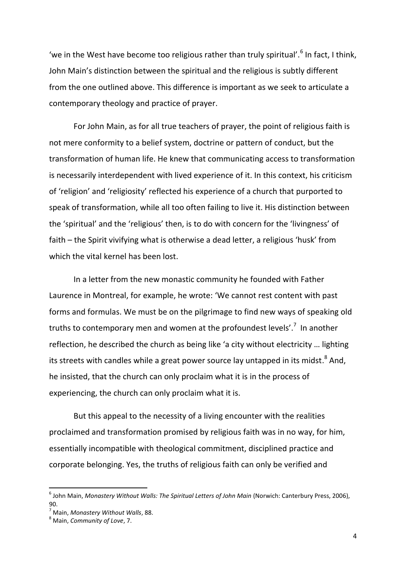'we in the West have become too religious rather than truly spiritual'.<sup>6</sup> In fact, I think, John Main's distinction between the spiritual and the religious is subtly different from the one outlined above. This difference is important as we seek to articulate a contemporary theology and practice of prayer.

For John Main, as for all true teachers of prayer, the point of religious faith is not mere conformity to a belief system, doctrine or pattern of conduct, but the transformation of human life. He knew that communicating access to transformation is necessarily interdependent with lived experience of it. In this context, his criticism of 'religion' and 'religiosity' reflected his experience of a church that purported to speak of transformation, while all too often failing to live it. His distinction between the 'spiritual' and the 'religious' then, is to do with concern for the 'livingness' of faith – the Spirit vivifying what is otherwise a dead letter, a religious 'husk' from which the vital kernel has been lost.

In a letter from the new monastic community he founded with Father Laurence in Montreal, for example, he wrote: 'We cannot rest content with past forms and formulas. We must be on the pilgrimage to find new ways of speaking old truths to contemporary men and women at the profoundest levels'.<sup>7</sup> In another reflection, he described the church as being like 'a city without electricity … lighting its streets with candles while a great power source lay untapped in its midst.<sup>8</sup> And, he insisted, that the church can only proclaim what it is in the process of experiencing, the church can only proclaim what it is.

But this appeal to the necessity of a living encounter with the realities proclaimed and transformation promised by religious faith was in no way, for him, essentially incompatible with theological commitment, disciplined practice and corporate belonging. Yes, the truths of religious faith can only be verified and

<sup>6</sup> John Main, *Monastery Without Walls: The Spiritual Letters of John Main* (Norwich: Canterbury Press, 2006), 90.

<sup>7</sup> Main, *Monastery Without Walls*, 88.

<sup>8</sup> Main, *Community of Love*, 7.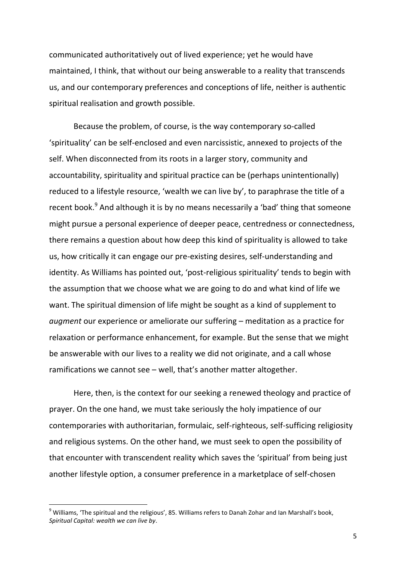communicated authoritatively out of lived experience; yet he would have maintained, I think, that without our being answerable to a reality that transcends us, and our contemporary preferences and conceptions of life, neither is authentic spiritual realisation and growth possible.

Because the problem, of course, is the way contemporary so-called 'spirituality' can be self-enclosed and even narcissistic, annexed to projects of the self. When disconnected from its roots in a larger story, community and accountability, spirituality and spiritual practice can be (perhaps unintentionally) reduced to a lifestyle resource, 'wealth we can live by', to paraphrase the title of a recent book.<sup>9</sup> And although it is by no means necessarily a 'bad' thing that someone might pursue a personal experience of deeper peace, centredness or connectedness, there remains a question about how deep this kind of spirituality is allowed to take us, how critically it can engage our pre-existing desires, self-understanding and identity. As Williams has pointed out, 'post-religious spirituality' tends to begin with the assumption that we choose what we are going to do and what kind of life we want. The spiritual dimension of life might be sought as a kind of supplement to *augment* our experience or ameliorate our suffering – meditation as a practice for relaxation or performance enhancement, for example. But the sense that we might be answerable with our lives to a reality we did not originate, and a call whose ramifications we cannot see – well, that's another matter altogether.

Here, then, is the context for our seeking a renewed theology and practice of prayer. On the one hand, we must take seriously the holy impatience of our contemporaries with authoritarian, formulaic, self-righteous, self-sufficing religiosity and religious systems. On the other hand, we must seek to open the possibility of that encounter with transcendent reality which saves the 'spiritual' from being just another lifestyle option, a consumer preference in a marketplace of self-chosen

<sup>&</sup>lt;sup>9</sup> Williams, 'The spiritual and the religious', 85. Williams refers to Danah Zohar and Ian Marshall's book, *Spiritual Capital: wealth we can live by*.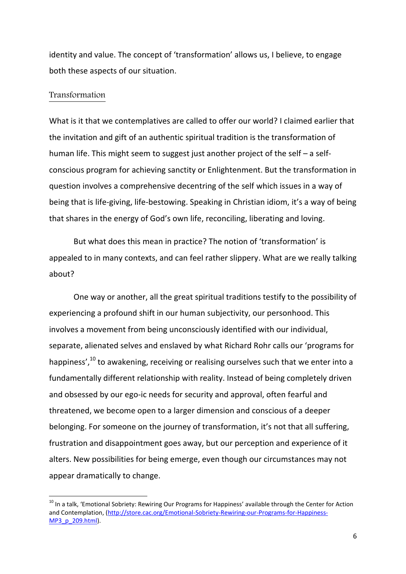identity and value. The concept of 'transformation' allows us, I believe, to engage both these aspects of our situation.

## Transformation

**.** 

What is it that we contemplatives are called to offer our world? I claimed earlier that the invitation and gift of an authentic spiritual tradition is the transformation of human life. This might seem to suggest just another project of the self – a selfconscious program for achieving sanctity or Enlightenment. But the transformation in question involves a comprehensive decentring of the self which issues in a way of being that is life-giving, life-bestowing. Speaking in Christian idiom, it's a way of being that shares in the energy of God's own life, reconciling, liberating and loving.

But what does this mean in practice? The notion of 'transformation' is appealed to in many contexts, and can feel rather slippery. What are we really talking about?

One way or another, all the great spiritual traditions testify to the possibility of experiencing a profound shift in our human subjectivity, our personhood. This involves a movement from being unconsciously identified with our individual, separate, alienated selves and enslaved by what Richard Rohr calls our 'programs for happiness', $^{10}$  to awakening, receiving or realising ourselves such that we enter into a fundamentally different relationship with reality. Instead of being completely driven and obsessed by our ego-ic needs for security and approval, often fearful and threatened, we become open to a larger dimension and conscious of a deeper belonging. For someone on the journey of transformation, it's not that all suffering, frustration and disappointment goes away, but our perception and experience of it alters. New possibilities for being emerge, even though our circumstances may not appear dramatically to change.

<sup>&</sup>lt;sup>10</sup> In a talk, 'Emotional Sobriety: Rewiring Our Programs for Happiness' available through the Center for Action and Contemplation, [\(http://store.cac.org/Emotional-Sobriety-Rewiring-our-Programs-for-Happiness-](http://store.cac.org/Emotional-Sobriety-Rewiring-our-Programs-for-Happiness-MP3_p_209.html)[MP3\\_p\\_209.html\)](http://store.cac.org/Emotional-Sobriety-Rewiring-our-Programs-for-Happiness-MP3_p_209.html).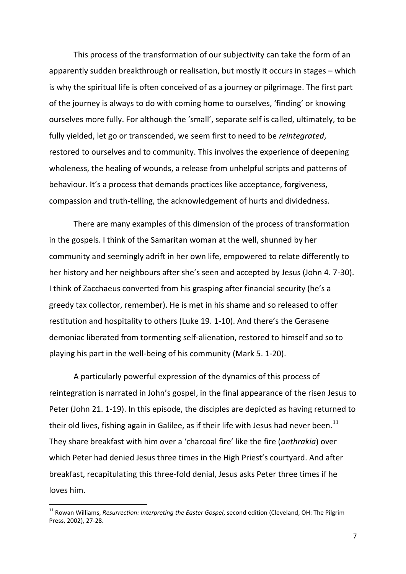This process of the transformation of our subjectivity can take the form of an apparently sudden breakthrough or realisation, but mostly it occurs in stages – which is why the spiritual life is often conceived of as a journey or pilgrimage. The first part of the journey is always to do with coming home to ourselves, 'finding' or knowing ourselves more fully. For although the 'small', separate self is called, ultimately, to be fully yielded, let go or transcended, we seem first to need to be *reintegrated*, restored to ourselves and to community. This involves the experience of deepening wholeness, the healing of wounds, a release from unhelpful scripts and patterns of behaviour. It's a process that demands practices like acceptance, forgiveness, compassion and truth-telling, the acknowledgement of hurts and dividedness.

There are many examples of this dimension of the process of transformation in the gospels. I think of the Samaritan woman at the well, shunned by her community and seemingly adrift in her own life, empowered to relate differently to her history and her neighbours after she's seen and accepted by Jesus (John 4. 7-30). I think of Zacchaeus converted from his grasping after financial security (he's a greedy tax collector, remember). He is met in his shame and so released to offer restitution and hospitality to others (Luke 19. 1-10). And there's the Gerasene demoniac liberated from tormenting self-alienation, restored to himself and so to playing his part in the well-being of his community (Mark 5. 1-20).

A particularly powerful expression of the dynamics of this process of reintegration is narrated in John's gospel, in the final appearance of the risen Jesus to Peter (John 21. 1-19). In this episode, the disciples are depicted as having returned to their old lives, fishing again in Galilee, as if their life with Jesus had never been.<sup>11</sup> They share breakfast with him over a 'charcoal fire' like the fire (*anthrakia*) over which Peter had denied Jesus three times in the High Priest's courtyard. And after breakfast, recapitulating this three-fold denial, Jesus asks Peter three times if he loves him.

<sup>&</sup>lt;sup>11</sup> Rowan Williams, *Resurrection: Interpreting the Easter Gospel*, second edition (Cleveland, OH: The Pilgrim Press, 2002), 27-28.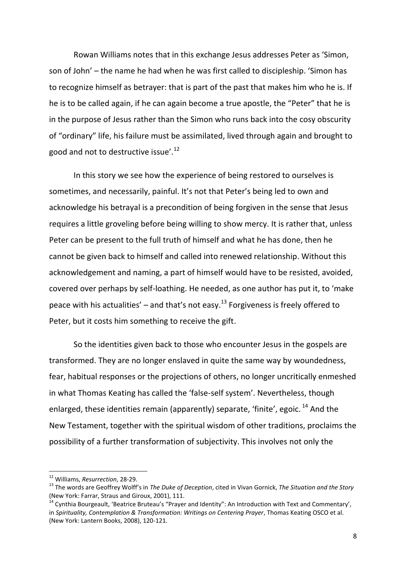Rowan Williams notes that in this exchange Jesus addresses Peter as 'Simon, son of John' – the name he had when he was first called to discipleship. 'Simon has to recognize himself as betrayer: that is part of the past that makes him who he is. If he is to be called again, if he can again become a true apostle, the "Peter" that he is in the purpose of Jesus rather than the Simon who runs back into the cosy obscurity of "ordinary" life, his failure must be assimilated, lived through again and brought to good and not to destructive issue'.<sup>12</sup>

In this story we see how the experience of being restored to ourselves is sometimes, and necessarily, painful. It's not that Peter's being led to own and acknowledge his betrayal is a precondition of being forgiven in the sense that Jesus requires a little groveling before being willing to show mercy. It is rather that, unless Peter can be present to the full truth of himself and what he has done, then he cannot be given back to himself and called into renewed relationship. Without this acknowledgement and naming, a part of himself would have to be resisted, avoided, covered over perhaps by self-loathing. He needed, as one author has put it, to 'make peace with his actualities' – and that's not easy.<sup>13</sup> Forgiveness is freely offered to Peter, but it costs him something to receive the gift.

So the identities given back to those who encounter Jesus in the gospels are transformed. They are no longer enslaved in quite the same way by woundedness, fear, habitual responses or the projections of others, no longer uncritically enmeshed in what Thomas Keating has called the 'false-self system'. Nevertheless, though enlarged, these identities remain (apparently) separate, 'finite', egoic.<sup>14</sup> And the New Testament, together with the spiritual wisdom of other traditions, proclaims the possibility of a further transformation of subjectivity. This involves not only the

<sup>12</sup> Williams, *Resurrection*, 28-29.

<sup>13</sup> The words are Geoffrey Wolff's in *The Duke of Deception*, cited in Vivan Gornick, *The Situation and the Story* (New York: Farrar, Straus and Giroux, 2001), 111.

 $14$  Cynthia Bourgeault, 'Beatrice Bruteau's "Prayer and Identity": An Introduction with Text and Commentary', in *Spirituality, Contemplation & Transformation: Writings on Centering Prayer*, Thomas Keating OSCO et al. (New York: Lantern Books, 2008), 120-121.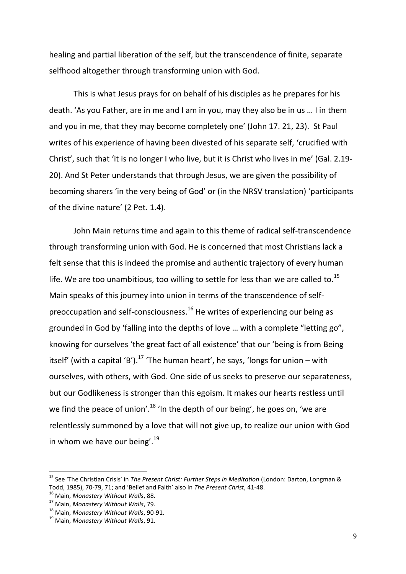healing and partial liberation of the self, but the transcendence of finite, separate selfhood altogether through transforming union with God.

This is what Jesus prays for on behalf of his disciples as he prepares for his death. 'As you Father, are in me and I am in you, may they also be in us … I in them and you in me, that they may become completely one' (John 17. 21, 23). St Paul writes of his experience of having been divested of his separate self, 'crucified with Christ', such that 'it is no longer I who live, but it is Christ who lives in me' (Gal. 2.19- 20). And St Peter understands that through Jesus, we are given the possibility of becoming sharers 'in the very being of God' or (in the NRSV translation) 'participants of the divine nature' (2 Pet. 1.4).

John Main returns time and again to this theme of radical self-transcendence through transforming union with God. He is concerned that most Christians lack a felt sense that this is indeed the promise and authentic trajectory of every human life. We are too unambitious, too willing to settle for less than we are called to.<sup>15</sup> Main speaks of this journey into union in terms of the transcendence of selfpreoccupation and self-consciousness.<sup>16</sup> He writes of experiencing our being as grounded in God by 'falling into the depths of love … with a complete "letting go", knowing for ourselves 'the great fact of all existence' that our 'being is from Being itself' (with a capital 'B').<sup>17</sup> 'The human heart', he says, 'longs for union – with ourselves, with others, with God. One side of us seeks to preserve our separateness, but our Godlikeness is stronger than this egoism. It makes our hearts restless until we find the peace of union'.<sup>18</sup> 'In the depth of our being', he goes on, 'we are relentlessly summoned by a love that will not give up, to realize our union with God in whom we have our being'.<sup>19</sup>

<sup>15</sup> See 'The Christian Crisis' in *The Present Christ: Further Steps in Meditation* (London: Darton, Longman & Todd, 1985), 70-79, 71; and 'Belief and Faith' also in *The Present Christ*, 41-48.

<sup>16</sup> Main, *Monastery Without Walls*, 88.

<sup>17</sup> Main, *Monastery Without Walls*, 79.

<sup>18</sup> Main, *Monastery Without Walls*, 90-91.

<sup>19</sup> Main, *Monastery Without Walls*, 91.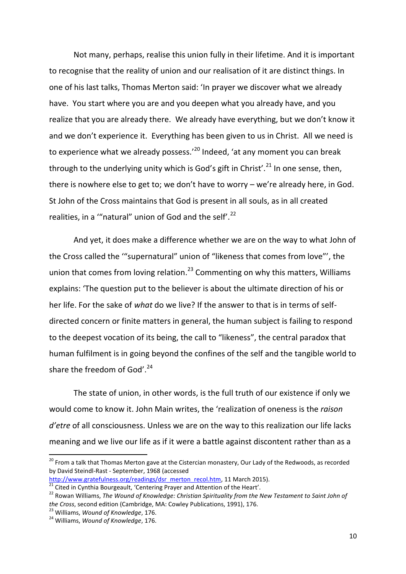Not many, perhaps, realise this union fully in their lifetime. And it is important to recognise that the reality of union and our realisation of it are distinct things. In one of his last talks, Thomas Merton said: 'In prayer we discover what we already have. You start where you are and you deepen what you already have, and you realize that you are already there. We already have everything, but we don't know it and we don't experience it. Everything has been given to us in Christ. All we need is to experience what we already possess.'<sup>20</sup> Indeed, 'at any moment you can break through to the underlying unity which is God's gift in Christ'.<sup>21</sup> In one sense, then, there is nowhere else to get to; we don't have to worry – we're already here, in God. St John of the Cross maintains that God is present in all souls, as in all created realities, in a ""natural" union of God and the self'.<sup>22</sup>

And yet, it does make a difference whether we are on the way to what John of the Cross called the '"supernatural" union of "likeness that comes from love"', the union that comes from loving relation.<sup>23</sup> Commenting on why this matters, Williams explains: 'The question put to the believer is about the ultimate direction of his or her life. For the sake of *what* do we live? If the answer to that is in terms of selfdirected concern or finite matters in general, the human subject is failing to respond to the deepest vocation of its being, the call to "likeness", the central paradox that human fulfilment is in going beyond the confines of the self and the tangible world to share the freedom of God'. $24$ 

The state of union, in other words, is the full truth of our existence if only we would come to know it. John Main writes, the 'realization of oneness is the *raison d'etre* of all consciousness. Unless we are on the way to this realization our life lacks meaning and we live our life as if it were a battle against discontent rather than as a

<sup>&</sup>lt;sup>20</sup> From a talk that Thomas Merton gave at the Cistercian monastery, Our Lady of the Redwoods, as recorded by David Steindl-Rast - September, 1968 (accessed

[http://www.gratefulness.org/readings/dsr\\_merton\\_recol.htm,](http://www.gratefulness.org/readings/dsr_merton_recol.htm) 11 March 2015).  $21$  Cited in Cynthia Bourgeault, 'Centering Prayer and Attention of the Heart'.

<sup>&</sup>lt;sup>22</sup> Rowan Williams, *The Wound of Knowledge: Christian Spirituality from the New Testament to Saint John of the Cross*, second edition (Cambridge, MA: Cowley Publications, 1991), 176.

<sup>23</sup> Williams, *Wound of Knowledge*, 176.

<sup>24</sup> Williams, *Wound of Knowledge*, 176.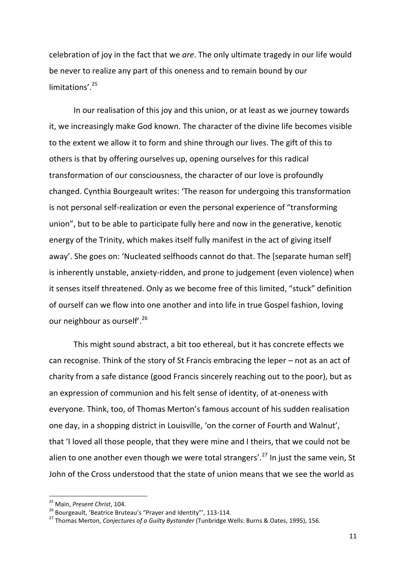celebration of joy in the fact that we *are*. The only ultimate tragedy in our life would be never to realize any part of this oneness and to remain bound by our limitations'. 25

In our realisation of this joy and this union, or at least as we journey towards it, we increasingly make God known. The character of the divine life becomes visible to the extent we allow it to form and shine through our lives. The gift of this to others is that by offering ourselves up, opening ourselves for this radical transformation of our consciousness, the character of our love is profoundly changed. Cynthia Bourgeault writes: 'The reason for undergoing this transformation is not personal self-realization or even the personal experience of "transforming union", but to be able to participate fully here and now in the generative, kenotic energy of the Trinity, which makes itself fully manifest in the act of giving itself away'. She goes on: 'Nucleated selfhoods cannot do that. The [separate human self] is inherently unstable, anxiety-ridden, and prone to judgement (even violence) when it senses itself threatened. Only as we become free of this limited, "stuck" definition of ourself can we flow into one another and into life in true Gospel fashion, loving our neighbour as ourself<sup>'.26</sup>

This might sound abstract, a bit too ethereal, but it has concrete effects we can recognise. Think of the story of St Francis embracing the leper – not as an act of charity from a safe distance (good Francis sincerely reaching out to the poor), but as an expression of communion and his felt sense of identity, of at-oneness with everyone. Think, too, of Thomas Merton's famous account of his sudden realisation one day, in a shopping district in Louisville, 'on the corner of Fourth and Walnut', that 'I loved all those people, that they were mine and I theirs, that we could not be alien to one another even though we were total strangers'.<sup>27</sup> In just the same vein, St John of the Cross understood that the state of union means that we see the world as

<sup>25</sup> Main, *Present Christ*, 104.

<sup>&</sup>lt;sup>26</sup> Bourgeault, 'Beatrice Bruteau's "Prayer and Identity", 113-114.

<sup>27</sup> Thomas Merton, *Conjectures of a Guilty Bystander* (Tunbridge Wells: Burns & Oates, 1995), 156.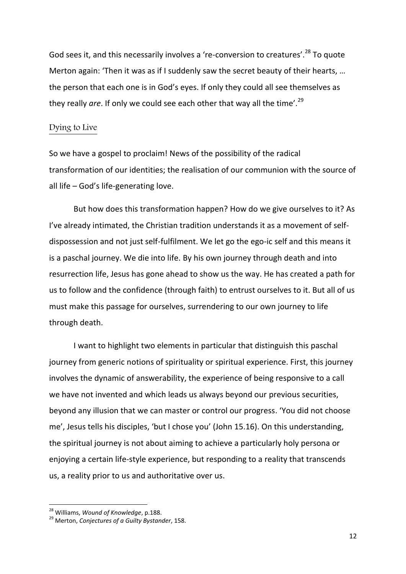God sees it, and this necessarily involves a 're-conversion to creatures'.<sup>28</sup> To quote Merton again: 'Then it was as if I suddenly saw the secret beauty of their hearts, … the person that each one is in God's eyes. If only they could all see themselves as they really are. If only we could see each other that way all the time'.<sup>29</sup>

## Dying to Live

So we have a gospel to proclaim! News of the possibility of the radical transformation of our identities; the realisation of our communion with the source of all life – God's life-generating love.

But how does this transformation happen? How do we give ourselves to it? As I've already intimated, the Christian tradition understands it as a movement of selfdispossession and not just self-fulfilment. We let go the ego-ic self and this means it is a paschal journey. We die into life. By his own journey through death and into resurrection life, Jesus has gone ahead to show us the way. He has created a path for us to follow and the confidence (through faith) to entrust ourselves to it. But all of us must make this passage for ourselves, surrendering to our own journey to life through death.

I want to highlight two elements in particular that distinguish this paschal journey from generic notions of spirituality or spiritual experience. First, this journey involves the dynamic of answerability, the experience of being responsive to a call we have not invented and which leads us always beyond our previous securities, beyond any illusion that we can master or control our progress. 'You did not choose me', Jesus tells his disciples, 'but I chose you' (John 15.16). On this understanding, the spiritual journey is not about aiming to achieve a particularly holy persona or enjoying a certain life-style experience, but responding to a reality that transcends us, a reality prior to us and authoritative over us.

<sup>28</sup> Williams, *Wound of Knowledge*, p.188.

<sup>29</sup> Merton, *Conjectures of a Guilty Bystander*, 158.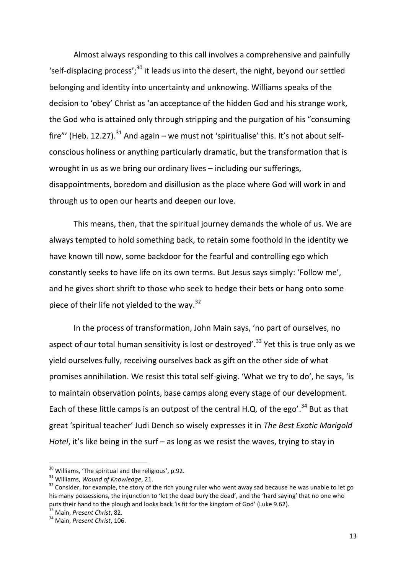Almost always responding to this call involves a comprehensive and painfully 'self-displacing process';<sup>30</sup> it leads us into the desert, the night, beyond our settled belonging and identity into uncertainty and unknowing. Williams speaks of the decision to 'obey' Christ as 'an acceptance of the hidden God and his strange work, the God who is attained only through stripping and the purgation of his "consuming fire"' (Heb. 12.27).<sup>31</sup> And again – we must not 'spiritualise' this. It's not about selfconscious holiness or anything particularly dramatic, but the transformation that is wrought in us as we bring our ordinary lives – including our sufferings, disappointments, boredom and disillusion as the place where God will work in and through us to open our hearts and deepen our love.

This means, then, that the spiritual journey demands the whole of us. We are always tempted to hold something back, to retain some foothold in the identity we have known till now, some backdoor for the fearful and controlling ego which constantly seeks to have life on its own terms. But Jesus says simply: 'Follow me', and he gives short shrift to those who seek to hedge their bets or hang onto some piece of their life not yielded to the way. $32$ 

In the process of transformation, John Main says, 'no part of ourselves, no aspect of our total human sensitivity is lost or destroyed'.<sup>33</sup> Yet this is true only as we yield ourselves fully, receiving ourselves back as gift on the other side of what promises annihilation. We resist this total self-giving. 'What we try to do', he says, 'is to maintain observation points, base camps along every stage of our development. Each of these little camps is an outpost of the central H.Q. of the ego'.<sup>34</sup> But as that great 'spiritual teacher' Judi Dench so wisely expresses it in *The Best Exotic Marigold Hotel*, it's like being in the surf – as long as we resist the waves, trying to stay in

 $\overline{a}$ 

 $30$  Williams, 'The spiritual and the religious', p.92.

<sup>31</sup> Williams, *Wound of Knowledge*, 21.

 $32$  Consider, for example, the story of the rich young ruler who went away sad because he was unable to let go his many possessions, the injunction to 'let the dead bury the dead', and the 'hard saying' that no one who puts their hand to the plough and looks back 'is fit for the kingdom of God' (Luke 9.62).

<sup>33</sup> Main, *Present Christ*, 82.

<sup>34</sup> Main, *Present Christ*, 106.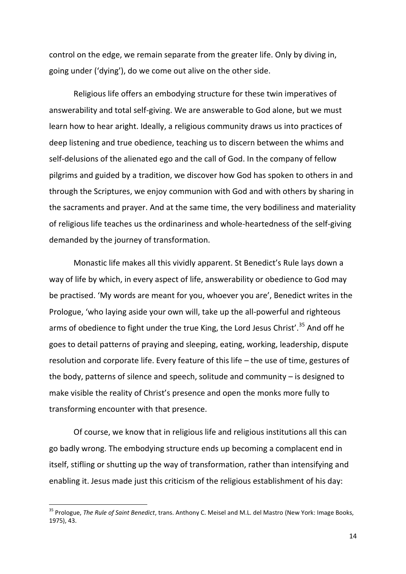control on the edge, we remain separate from the greater life. Only by diving in, going under ('dying'), do we come out alive on the other side.

Religious life offers an embodying structure for these twin imperatives of answerability and total self-giving. We are answerable to God alone, but we must learn how to hear aright. Ideally, a religious community draws us into practices of deep listening and true obedience, teaching us to discern between the whims and self-delusions of the alienated ego and the call of God. In the company of fellow pilgrims and guided by a tradition, we discover how God has spoken to others in and through the Scriptures, we enjoy communion with God and with others by sharing in the sacraments and prayer. And at the same time, the very bodiliness and materiality of religious life teaches us the ordinariness and whole-heartedness of the self-giving demanded by the journey of transformation.

Monastic life makes all this vividly apparent. St Benedict's Rule lays down a way of life by which, in every aspect of life, answerability or obedience to God may be practised. 'My words are meant for you, whoever you are', Benedict writes in the Prologue, 'who laying aside your own will, take up the all-powerful and righteous arms of obedience to fight under the true King, the Lord Jesus Christ'.<sup>35</sup> And off he goes to detail patterns of praying and sleeping, eating, working, leadership, dispute resolution and corporate life. Every feature of this life – the use of time, gestures of the body, patterns of silence and speech, solitude and community – is designed to make visible the reality of Christ's presence and open the monks more fully to transforming encounter with that presence.

Of course, we know that in religious life and religious institutions all this can go badly wrong. The embodying structure ends up becoming a complacent end in itself, stifling or shutting up the way of transformation, rather than intensifying and enabling it. Jesus made just this criticism of the religious establishment of his day:

<sup>35</sup> Prologue, *The Rule of Saint Benedict*, trans. Anthony C. Meisel and M.L. del Mastro (New York: Image Books, 1975), 43.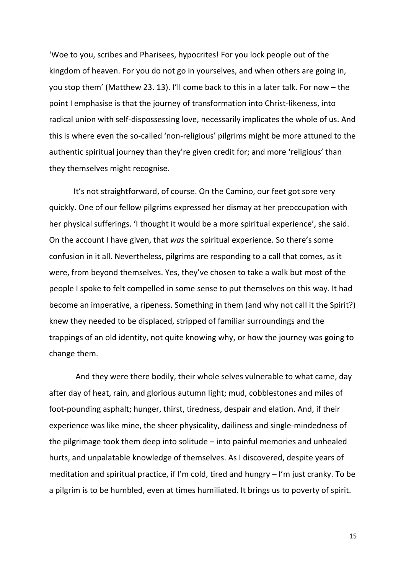'Woe to you, scribes and Pharisees, hypocrites! For you lock people out of the kingdom of heaven. For you do not go in yourselves, and when others are going in, you stop them' (Matthew 23. 13). I'll come back to this in a later talk. For now – the point I emphasise is that the journey of transformation into Christ-likeness, into radical union with self-dispossessing love, necessarily implicates the whole of us. And this is where even the so-called 'non-religious' pilgrims might be more attuned to the authentic spiritual journey than they're given credit for; and more 'religious' than they themselves might recognise.

It's not straightforward, of course. On the Camino, our feet got sore very quickly. One of our fellow pilgrims expressed her dismay at her preoccupation with her physical sufferings. 'I thought it would be a more spiritual experience', she said. On the account I have given, that *was* the spiritual experience. So there's some confusion in it all. Nevertheless, pilgrims are responding to a call that comes, as it were, from beyond themselves. Yes, they've chosen to take a walk but most of the people I spoke to felt compelled in some sense to put themselves on this way. It had become an imperative, a ripeness. Something in them (and why not call it the Spirit?) knew they needed to be displaced, stripped of familiar surroundings and the trappings of an old identity, not quite knowing why, or how the journey was going to change them.

And they were there bodily, their whole selves vulnerable to what came, day after day of heat, rain, and glorious autumn light; mud, cobblestones and miles of foot-pounding asphalt; hunger, thirst, tiredness, despair and elation. And, if their experience was like mine, the sheer physicality, dailiness and single-mindedness of the pilgrimage took them deep into solitude – into painful memories and unhealed hurts, and unpalatable knowledge of themselves. As I discovered, despite years of meditation and spiritual practice, if I'm cold, tired and hungry – I'm just cranky. To be a pilgrim is to be humbled, even at times humiliated. It brings us to poverty of spirit.